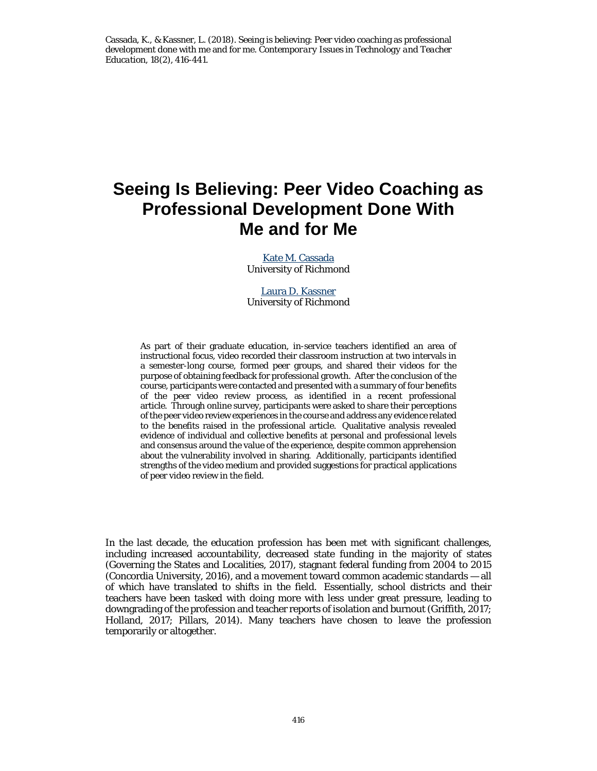Cassada, K., & Kassner, L. (2018). Seeing is believing: Peer video coaching as professional development done with me and for me. *Contemporary Issues in Technology and Teacher Education, 18*(2), 416-441.

# **Seeing Is Believing: Peer Video Coaching as Professional Development Done With Me and for Me**

[Kate M. Cassada](mailto:kcassada@richmond.edu) University of Richmond

[Laura D. Kassner](mailto:lkassner@richmond.edu) University of Richmond

As part of their graduate education, in-service teachers identified an area of instructional focus, video recorded their classroom instruction at two intervals in a semester-long course, formed peer groups, and shared their videos for the purpose of obtaining feedback for professional growth. After the conclusion of the course, participants were contacted and presented with a summary of four benefits of the peer video review process, as identified in a recent professional article. Through online survey, participants were asked to share their perceptions of the peer video review experiences in the course and address any evidence related to the benefits raised in the professional article. Qualitative analysis revealed evidence of individual and collective benefits at personal and professional levels and consensus around the value of the experience, despite common apprehension about the vulnerability involved in sharing. Additionally, participants identified strengths of the video medium and provided suggestions for practical applications of peer video review in the field.

In the last decade, the education profession has been met with significant challenges, including increased accountability, decreased state funding in the majority of states (Governing the States and Localities, 2017), stagnant federal funding from 2004 to 2015 (Concordia University, 2016), and a movement toward common academic standards — all of which have translated to shifts in the field. Essentially, school districts and their teachers have been tasked with doing more with less under great pressure, leading to downgrading of the profession and teacher reports of isolation and burnout (Griffith, 2017; Holland, 2017; Pillars, 2014). Many teachers have chosen to leave the profession temporarily or altogether.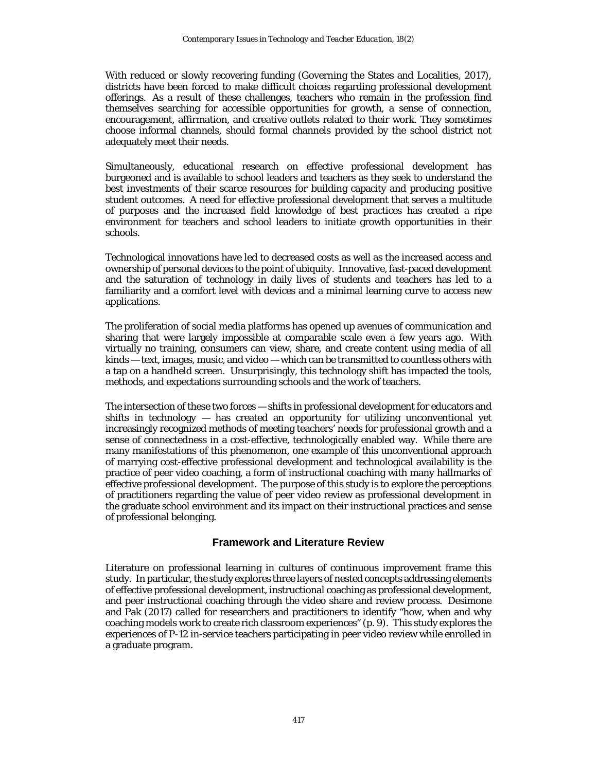With reduced or slowly recovering funding (Governing the States and Localities, 2017), districts have been forced to make difficult choices regarding professional development offerings. As a result of these challenges, teachers who remain in the profession find themselves searching for accessible opportunities for growth, a sense of connection, encouragement, affirmation, and creative outlets related to their work. They sometimes choose informal channels, should formal channels provided by the school district not adequately meet their needs.

Simultaneously, educational research on effective professional development has burgeoned and is available to school leaders and teachers as they seek to understand the best investments of their scarce resources for building capacity and producing positive student outcomes. A need for effective professional development that serves a multitude of purposes and the increased field knowledge of best practices has created a ripe environment for teachers and school leaders to initiate growth opportunities in their schools.

Technological innovations have led to decreased costs as well as the increased access and ownership of personal devices to the point of ubiquity. Innovative, fast-paced development and the saturation of technology in daily lives of students and teachers has led to a familiarity and a comfort level with devices and a minimal learning curve to access new applications.

The proliferation of social media platforms has opened up avenues of communication and sharing that were largely impossible at comparable scale even a few years ago. With virtually no training, consumers can view, share, and create content using media of all kinds — text, images, music, and video — which can be transmitted to countless others with a tap on a handheld screen. Unsurprisingly, this technology shift has impacted the tools, methods, and expectations surrounding schools and the work of teachers.

The intersection of these two forces — shifts in professional development for educators and shifts in technology — has created an opportunity for utilizing unconventional yet increasingly recognized methods of meeting teachers' needs for professional growth and a sense of connectedness in a cost-effective, technologically enabled way. While there are many manifestations of this phenomenon, one example of this unconventional approach of marrying cost-effective professional development and technological availability is the practice of peer video coaching, a form of instructional coaching with many hallmarks of effective professional development. The purpose of this study is to explore the perceptions of practitioners regarding the value of peer video review as professional development in the graduate school environment and its impact on their instructional practices and sense of professional belonging.

# **Framework and Literature Review**

Literature on professional learning in cultures of continuous improvement frame this study. In particular, the study explores three layers of nested concepts addressing elements of effective professional development, instructional coaching as professional development, and peer instructional coaching through the video share and review process. Desimone and Pak (2017) called for researchers and practitioners to identify "how, when and why coaching models work to create rich classroom experiences" (p. 9). This study explores the experiences of P-12 in-service teachers participating in peer video review while enrolled in a graduate program.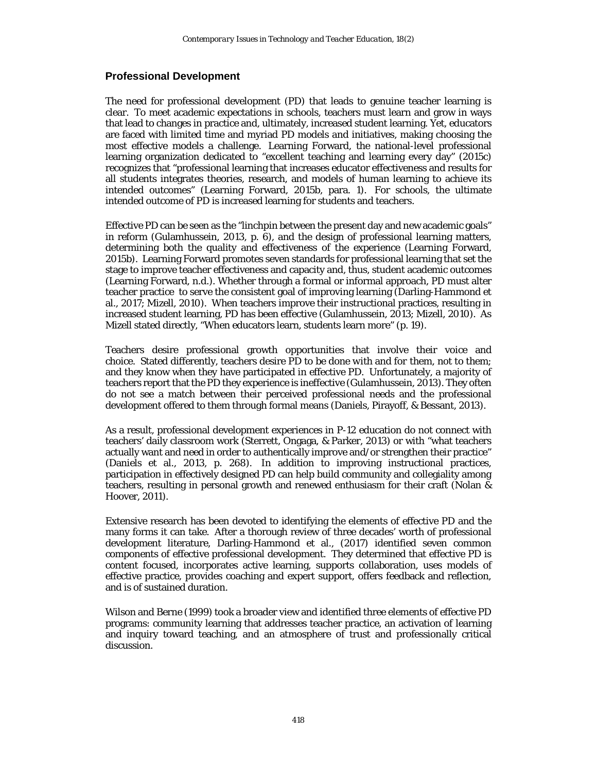#### **Professional Development**

The need for professional development (PD) that leads to genuine teacher learning is clear. To meet academic expectations in schools, teachers must learn and grow in ways that lead to changes in practice and, ultimately, increased student learning. Yet, educators are faced with limited time and myriad PD models and initiatives, making choosing the most effective models a challenge. Learning Forward, the national-level professional learning organization dedicated to "excellent teaching and learning every day" (2015c) recognizes that "professional learning that increases educator effectiveness and results for all students integrates theories, research, and models of human learning to achieve its intended outcomes" (Learning Forward, 2015b, para. 1). For schools, the ultimate intended outcome of PD is increased learning for students and teachers.

Effective PD can be seen as the "linchpin between the present day and new academic goals" in reform (Gulamhussein, 2013, p. 6), and the design of professional learning matters, determining both the quality and effectiveness of the experience (Learning Forward, 2015b). Learning Forward promotes seven standards for professional learning that set the stage to improve teacher effectiveness and capacity and, thus, student academic outcomes (Learning Forward, n.d.). Whether through a formal or informal approach, PD must alter teacher practice to serve the consistent goal of improving learning (Darling-Hammond et al., 2017; Mizell, 2010). When teachers improve their instructional practices, resulting in increased student learning, PD has been effective (Gulamhussein, 2013; Mizell, 2010). As Mizell stated directly, "When educators learn, students learn more" (p. 19).

Teachers desire professional growth opportunities that involve their voice and choice. Stated differently, teachers desire PD to be done *with* and *for* them, not *to* them; and they know when they have participated in effective PD. Unfortunately, a majority of teachers report that the PD they experience is ineffective (Gulamhussein, 2013). They often do not see a match between their perceived professional needs and the professional development offered to them through formal means (Daniels, Pirayoff, & Bessant, 2013).

As a result, professional development experiences in P-12 education do not connect with teachers' daily classroom work (Sterrett, Ongaga, & Parker, 2013) or with "what teachers actually want and need in order to authentically improve and/or strengthen their practice" (Daniels et al., 2013, p. 268). In addition to improving instructional practices, participation in effectively designed PD can help build community and collegiality among teachers, resulting in personal growth and renewed enthusiasm for their craft (Nolan & Hoover, 2011).

Extensive research has been devoted to identifying the elements of effective PD and the many forms it can take. After a thorough review of three decades' worth of professional development literature, Darling-Hammond et al., (2017) identified seven common components of effective professional development. They determined that effective PD is content focused, incorporates active learning, supports collaboration, uses models of effective practice, provides coaching and expert support, offers feedback and reflection, and is of sustained duration.

Wilson and Berne (1999) took a broader view and identified three elements of effective PD programs: community learning that addresses teacher practice, an activation of learning and inquiry toward teaching, and an atmosphere of trust and professionally critical discussion.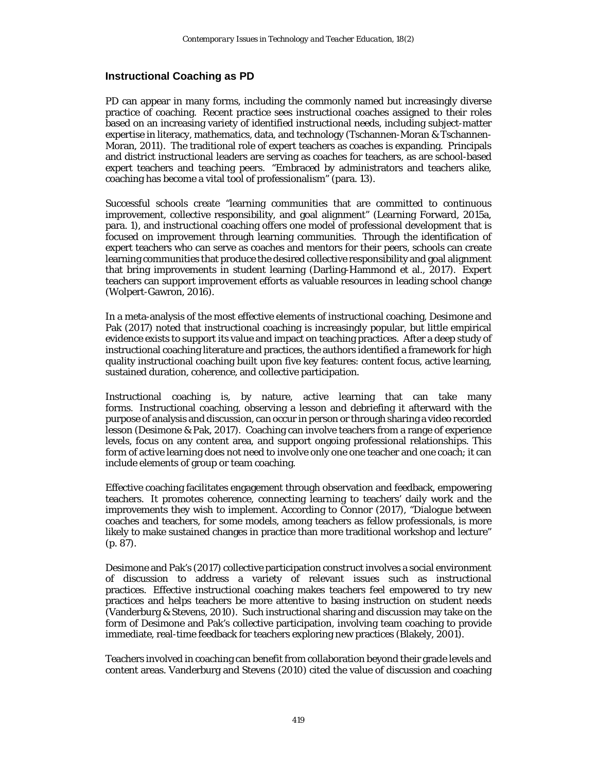#### **Instructional Coaching as PD**

PD can appear in many forms, including the commonly named but increasingly diverse practice of coaching. Recent practice sees instructional coaches assigned to their roles based on an increasing variety of identified instructional needs, including subject-matter expertise in literacy, mathematics, data, and technology (Tschannen-Moran & Tschannen-Moran, 2011). The traditional role of expert teachers as coaches is expanding. Principals and district instructional leaders are serving as coaches for teachers, as are school-based expert teachers and teaching peers. "Embraced by administrators and teachers alike, coaching has become a vital tool of professionalism" (para. 13).

Successful schools create "learning communities that are committed to continuous improvement, collective responsibility, and goal alignment" (Learning Forward, 2015a, para. 1), and instructional coaching offers one model of professional development that is focused on improvement through learning communities. Through the identification of expert teachers who can serve as coaches and mentors for their peers, schools can create learning communities that produce the desired collective responsibility and goal alignment that bring improvements in student learning (Darling-Hammond et al., 2017). Expert teachers can support improvement efforts as valuable resources in leading school change (Wolpert-Gawron, 2016).

In a meta-analysis of the most effective elements of instructional coaching, Desimone and Pak (2017) noted that instructional coaching is increasingly popular, but little empirical evidence exists to support its value and impact on teaching practices. After a deep study of instructional coaching literature and practices, the authors identified a framework for high quality instructional coaching built upon five key features: content focus, active learning, sustained duration, coherence, and collective participation.

Instructional coaching is, by nature, active learning that can take many forms. Instructional coaching, observing a lesson and debriefing it afterward with the purpose of analysis and discussion, can occur in person or through sharing a video recorded lesson (Desimone & Pak, 2017). Coaching can involve teachers from a range of experience levels, focus on any content area, and support ongoing professional relationships. This form of active learning does not need to involve only one one teacher and one coach; it can include elements of group or team coaching.

Effective coaching facilitates engagement through observation and feedback, empowering teachers. It promotes coherence, connecting learning to teachers' daily work and the improvements they wish to implement. According to Connor (2017), "Dialogue between coaches and teachers, for some models, among teachers as fellow professionals, is more likely to make sustained changes in practice than more traditional workshop and lecture" (p. 87).

Desimone and Pak's (2017) collective participation construct involves a social environment of discussion to address a variety of relevant issues such as instructional practices. Effective instructional coaching makes teachers feel empowered to try new practices and helps teachers be more attentive to basing instruction on student needs (Vanderburg & Stevens, 2010). Such instructional sharing and discussion may take on the form of Desimone and Pak's collective participation, involving team coaching to provide immediate, real-time feedback for teachers exploring new practices (Blakely, 2001).

Teachers involved in coaching can benefit from collaboration beyond their grade levels and content areas. Vanderburg and Stevens (2010) cited the value of discussion and coaching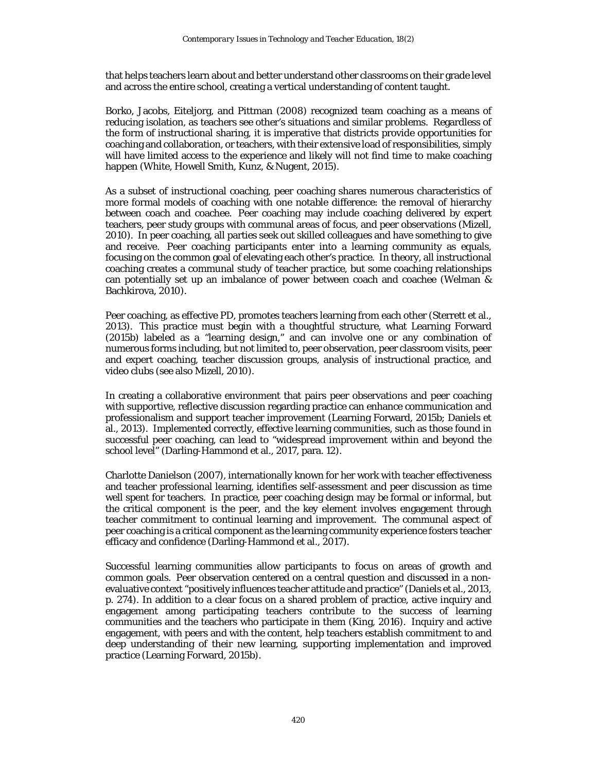that helps teachers learn about and better understand other classrooms on their grade level and across the entire school, creating a vertical understanding of content taught.

Borko, Jacobs, Eiteljorg, and Pittman (2008) recognized team coaching as a means of reducing isolation, as teachers see other's situations and similar problems. Regardless of the form of instructional sharing, it is imperative that districts provide opportunities for coaching and collaboration, or teachers, with their extensive load of responsibilities, simply will have limited access to the experience and likely will not find time to make coaching happen (White, Howell Smith, Kunz, & Nugent, 2015).

As a subset of instructional coaching, peer coaching shares numerous characteristics of more formal models of coaching with one notable difference: the removal of hierarchy between coach and coachee. Peer coaching may include coaching delivered by expert teachers, peer study groups with communal areas of focus, and peer observations (Mizell, 2010). In peer coaching, all parties seek out skilled colleagues and have something to give and receive. Peer coaching participants enter into a learning community as equals, focusing on the common goal of elevating each other's practice. In theory, all instructional coaching creates a communal study of teacher practice, but some coaching relationships can potentially set up an imbalance of power between coach and coachee (Welman & Bachkirova, 2010).

Peer coaching, as effective PD, promotes teachers learning from each other (Sterrett et al., 2013). This practice must begin with a thoughtful structure, what Learning Forward (2015b) labeled as a "learning design," and can involve one or any combination of numerous forms including, but not limited to, peer observation, peer classroom visits, peer and expert coaching, teacher discussion groups, analysis of instructional practice, and video clubs (see also Mizell, 2010).

In creating a collaborative environment that pairs peer observations and peer coaching with supportive, reflective discussion regarding practice can enhance communication and professionalism and support teacher improvement (Learning Forward, 2015b; Daniels et al., 2013). Implemented correctly, effective learning communities, such as those found in successful peer coaching, can lead to "widespread improvement within and beyond the school level" (Darling-Hammond et al., 2017, para. 12).

Charlotte Danielson (2007), internationally known for her work with teacher effectiveness and teacher professional learning, identifies self-assessment and peer discussion as time well spent for teachers. In practice, peer coaching design may be formal or informal, but the critical component is the peer, and the key element involves engagement through teacher commitment to continual learning and improvement. The communal aspect of peer coaching is a critical component as the learning community experience fosters teacher efficacy and confidence (Darling-Hammond et al., 2017).

Successful learning communities allow participants to focus on areas of growth and common goals. Peer observation centered on a central question and discussed in a nonevaluative context "positively influences teacher attitude and practice" (Daniels et al., 2013, p. 274). In addition to a clear focus on a shared problem of practice, active inquiry and engagement among participating teachers contribute to the success of learning communities and the teachers who participate in them (King, 2016). Inquiry and active engagement, with peers and with the content, help teachers establish commitment to and deep understanding of their new learning, supporting implementation and improved practice (Learning Forward, 2015b).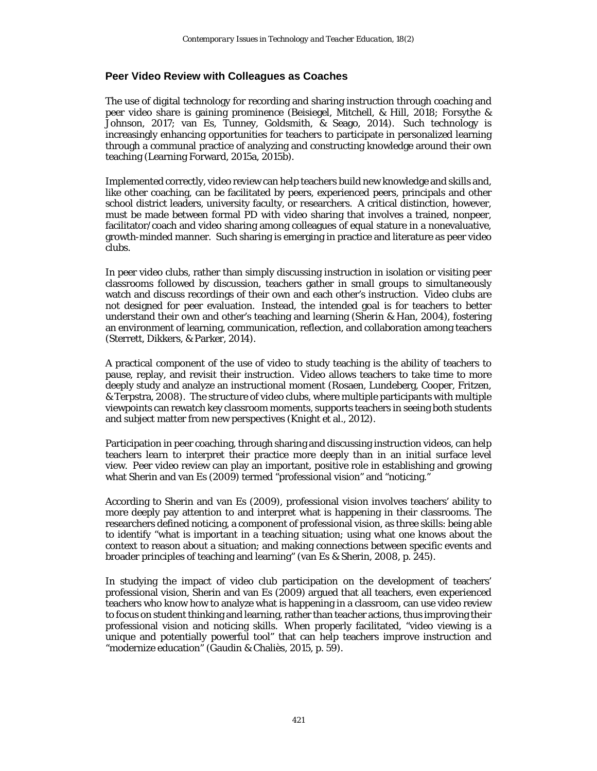#### **Peer Video Review with Colleagues as Coaches**

The use of digital technology for recording and sharing instruction through coaching and peer video share is gaining prominence (Beisiegel, Mitchell, & Hill, 2018; Forsythe & Johnson, 2017; van Es, Tunney, Goldsmith, & Seago, 2014). Such technology is increasingly enhancing opportunities for teachers to participate in personalized learning through a communal practice of analyzing and constructing knowledge around their own teaching (Learning Forward, 2015a, 2015b).

Implemented correctly, video review can help teachers build new knowledge and skills and, like other coaching, can be facilitated by peers, experienced peers, principals and other school district leaders, university faculty, or researchers. A critical distinction, however, must be made between formal PD with video sharing that involves a trained, nonpeer, facilitator/coach and video sharing among colleagues of equal stature in a nonevaluative, growth-minded manner. Such sharing is emerging in practice and literature as peer video clubs.

In peer video clubs, rather than simply discussing instruction in isolation or visiting peer classrooms followed by discussion, teachers gather in small groups to simultaneously watch and discuss recordings of their own and each other's instruction. Video clubs are not designed for peer evaluation. Instead, the intended goal is for teachers to better understand their own and other's teaching and learning (Sherin & Han, 2004), fostering an environment of learning, communication, reflection, and collaboration among teachers (Sterrett, Dikkers, & Parker, 2014).

A practical component of the use of video to study teaching is the ability of teachers to pause, replay, and revisit their instruction. Video allows teachers to take time to more deeply study and analyze an instructional moment (Rosaen, Lundeberg, Cooper, Fritzen, & Terpstra, 2008). The structure of video clubs, where multiple participants with multiple viewpoints can rewatch key classroom moments, supports teachers in seeing both students and subject matter from new perspectives (Knight et al., 2012).

Participation in peer coaching, through sharing and discussing instruction videos, can help teachers learn to interpret their practice more deeply than in an initial surface level view. Peer video review can play an important, positive role in establishing and growing what Sherin and van Es (2009) termed "professional vision" and "noticing."

According to Sherin and van Es (2009), professional vision involves teachers' ability to more deeply pay attention to and interpret what is happening in their classrooms. The researchers defined noticing, a component of professional vision, as three skills: being able to identify "what is important in a teaching situation; using what one knows about the context to reason about a situation; and making connections between specific events and broader principles of teaching and learning" (van Es & Sherin, 2008, p. 245).

In studying the impact of video club participation on the development of teachers' professional vision, Sherin and van Es (2009) argued that all teachers, even experienced teachers who know how to analyze what is happening in a classroom, can use video review to focus on student thinking and learning, rather than teacher actions, thus improving their professional vision and noticing skills. When properly facilitated, "video viewing is a unique and potentially powerful tool" that can help teachers improve instruction and "modernize education" (Gaudin & Chaliès, 2015, p. 59).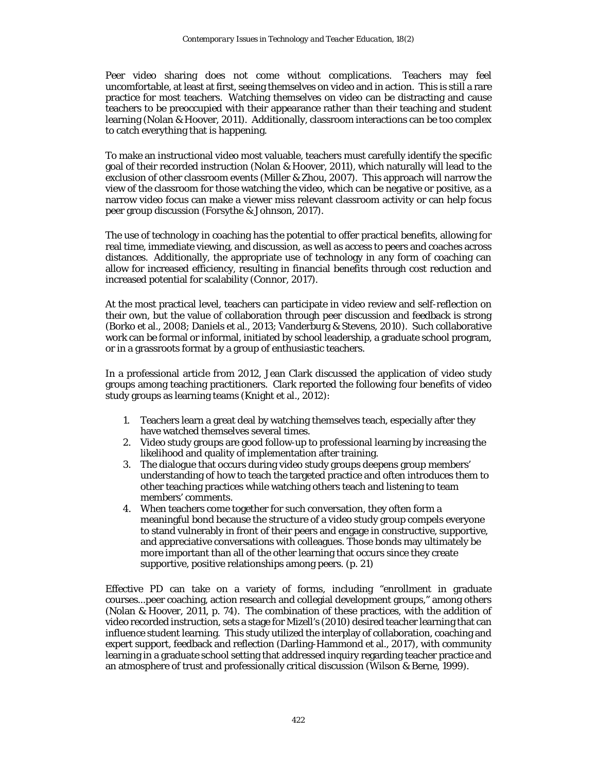Peer video sharing does not come without complications. Teachers may feel uncomfortable, at least at first, seeing themselves on video and in action. This is still a rare practice for most teachers. Watching themselves on video can be distracting and cause teachers to be preoccupied with their appearance rather than their teaching and student learning (Nolan & Hoover, 2011). Additionally, classroom interactions can be too complex to catch everything that is happening.

To make an instructional video most valuable, teachers must carefully identify the specific goal of their recorded instruction (Nolan & Hoover, 2011), which naturally will lead to the exclusion of other classroom events (Miller & Zhou, 2007). This approach will narrow the view of the classroom for those watching the video, which can be negative or positive, as a narrow video focus can make a viewer miss relevant classroom activity or can help focus peer group discussion (Forsythe & Johnson, 2017).

The use of technology in coaching has the potential to offer practical benefits, allowing for real time, immediate viewing, and discussion, as well as access to peers and coaches across distances. Additionally, the appropriate use of technology in any form of coaching can allow for increased efficiency, resulting in financial benefits through cost reduction and increased potential for scalability (Connor, 2017).

At the most practical level, teachers can participate in video review and self-reflection on their own, but the value of collaboration through peer discussion and feedback is strong (Borko et al., 2008; Daniels et al., 2013; Vanderburg & Stevens, 2010). Such collaborative work can be formal or informal, initiated by school leadership, a graduate school program, or in a grassroots format by a group of enthusiastic teachers.

In a professional article from 2012, Jean Clark discussed the application of video study groups among teaching practitioners. Clark reported the following four benefits of video study groups as learning teams (Knight et al., 2012):

- 1. Teachers learn a great deal by watching themselves teach, especially after they have watched themselves several times.
- 2. Video study groups are good follow-up to professional learning by increasing the likelihood and quality of implementation after training.
- 3. The dialogue that occurs during video study groups deepens group members' understanding of how to teach the targeted practice and often introduces them to other teaching practices while watching others teach and listening to team members' comments.
- 4. When teachers come together for such conversation, they often form a meaningful bond because the structure of a video study group compels everyone to stand vulnerably in front of their peers and engage in constructive, supportive, and appreciative conversations with colleagues. Those bonds may ultimately be more important than all of the other learning that occurs since they create supportive, positive relationships among peers. (p. 21)

Effective PD can take on a variety of forms, including "enrollment in graduate courses...peer coaching, action research and collegial development groups," among others (Nolan & Hoover, 2011, p. 74). The combination of these practices, with the addition of video recorded instruction, sets a stage for Mizell's (2010) desired teacher learning that can influence student learning. This study utilized the interplay of collaboration, coaching and expert support, feedback and reflection (Darling-Hammond et al., 2017), with community learning in a graduate school setting that addressed inquiry regarding teacher practice and an atmosphere of trust and professionally critical discussion (Wilson & Berne, 1999).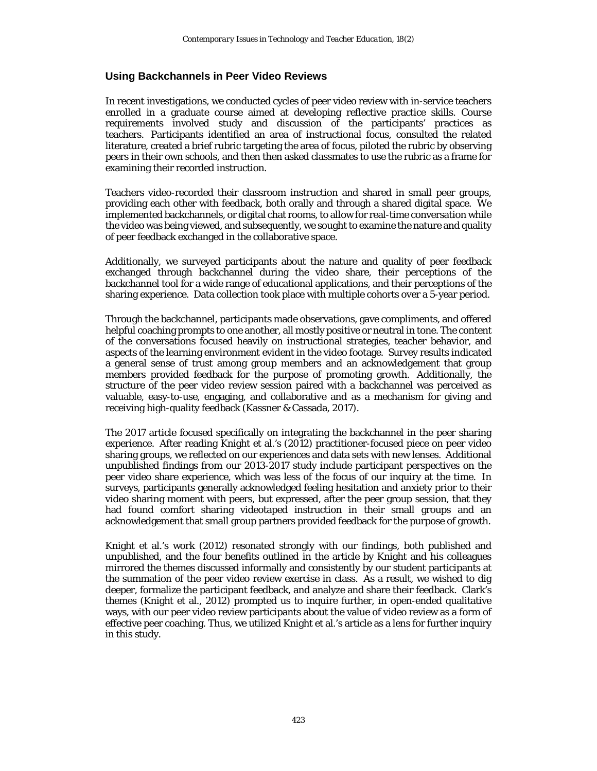#### **Using Backchannels in Peer Video Reviews**

In recent investigations, we conducted cycles of peer video review with in-service teachers enrolled in a graduate course aimed at developing reflective practice skills. Course requirements involved study and discussion of the participants' practices as teachers. Participants identified an area of instructional focus, consulted the related literature, created a brief rubric targeting the area of focus, piloted the rubric by observing peers in their own schools, and then then asked classmates to use the rubric as a frame for examining their recorded instruction.

Teachers video-recorded their classroom instruction and shared in small peer groups, providing each other with feedback, both orally and through a shared digital space. We implemented backchannels, or digital chat rooms, to allow for real-time conversation while the video was being viewed, and subsequently, we sought to examine the nature and quality of peer feedback exchanged in the collaborative space.

Additionally, we surveyed participants about the nature and quality of peer feedback exchanged through backchannel during the video share, their perceptions of the backchannel tool for a wide range of educational applications, and their perceptions of the sharing experience. Data collection took place with multiple cohorts over a 5-year period.

Through the backchannel, participants made observations, gave compliments, and offered helpful coaching prompts to one another, all mostly positive or neutral in tone. The content of the conversations focused heavily on instructional strategies, teacher behavior, and aspects of the learning environment evident in the video footage. Survey results indicated a general sense of trust among group members and an acknowledgement that group members provided feedback for the purpose of promoting growth. Additionally, the structure of the peer video review session paired with a backchannel was perceived as valuable, easy-to-use, engaging, and collaborative and as a mechanism for giving and receiving high-quality feedback (Kassner & Cassada, 2017).

The 2017 article focused specifically on integrating the backchannel in the peer sharing experience. After reading Knight et al.'s (2012) practitioner-focused piece on peer video sharing groups, we reflected on our experiences and data sets with new lenses. Additional unpublished findings from our 2013-2017 study include participant perspectives on the peer video share experience, which was less of the focus of our inquiry at the time. In surveys, participants generally acknowledged feeling hesitation and anxiety prior to their video sharing moment with peers, but expressed, after the peer group session, that they had found comfort sharing videotaped instruction in their small groups and an acknowledgement that small group partners provided feedback for the purpose of growth.

Knight et al.'s work (2012) resonated strongly with our findings, both published and unpublished, and the four benefits outlined in the article by Knight and his colleagues mirrored the themes discussed informally and consistently by our student participants at the summation of the peer video review exercise in class. As a result, we wished to dig deeper, formalize the participant feedback, and analyze and share their feedback. Clark's themes (Knight et al., 2012) prompted us to inquire further, in open-ended qualitative ways, with our peer video review participants about the value of video review as a form of effective peer coaching. Thus, we utilized Knight et al.'s article as a lens for further inquiry in this study.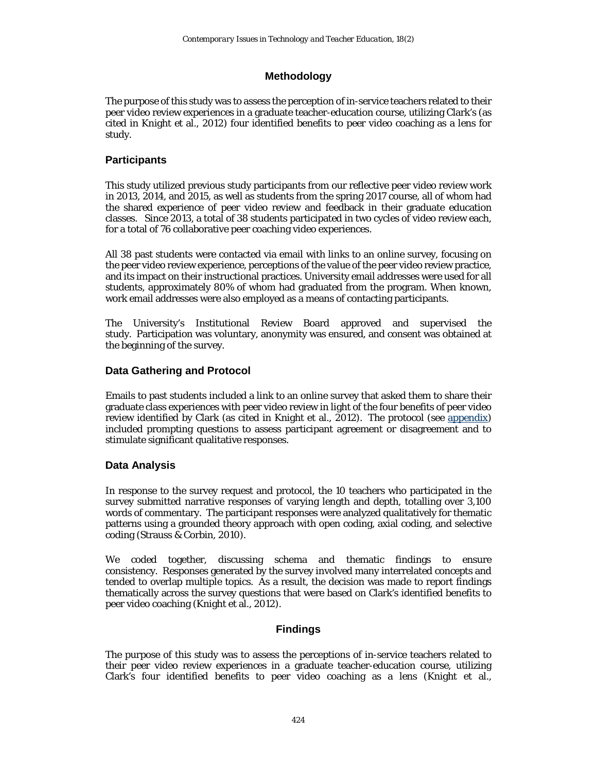# **Methodology**

The purpose of this study was to assess the perception of in-service teachers related to their peer video review experiences in a graduate teacher-education course, utilizing Clark's (as cited in Knight et al., 2012) four identified benefits to peer video coaching as a lens for study.

# **Participants**

This study utilized previous study participants from our reflective peer video review work in 2013, 2014, and 2015, as well as students from the spring 2017 course, all of whom had the shared experience of peer video review and feedback in their graduate education classes. Since 2013, a total of 38 students participated in two cycles of video review each, for a total of 76 collaborative peer coaching video experiences.

All 38 past students were contacted via email with links to an online survey, focusing on the peer video review experience, perceptions of the value of the peer video review practice, and its impact on their instructional practices. University email addresses were used for all students, approximately 80% of whom had graduated from the program. When known, work email addresses were also employed as a means of contacting participants.

The University's Institutional Review Board approved and supervised the study. Participation was voluntary, anonymity was ensured, and consent was obtained at the beginning of the survey.

# **Data Gathering and Protocol**

Emails to past students included a link to an online survey that asked them to share their graduate class experiences with peer video review in light of the four benefits of peer video review identified by Clark (as cited in Knight et al., 2012). The protocol (see [appendix\)](#page-23-0) included prompting questions to assess participant agreement or disagreement and to stimulate significant qualitative responses.

# **Data Analysis**

In response to the survey request and protocol, the 10 teachers who participated in the survey submitted narrative responses of varying length and depth, totalling over 3,100 words of commentary. The participant responses were analyzed qualitatively for thematic patterns using a grounded theory approach with open coding, axial coding, and selective coding (Strauss & Corbin, 2010).

We coded together, discussing schema and thematic findings to ensure consistency. Responses generated by the survey involved many interrelated concepts and tended to overlap multiple topics. As a result, the decision was made to report findings thematically across the survey questions that were based on Clark's identified benefits to peer video coaching (Knight et al., 2012).

# **Findings**

The purpose of this study was to assess the perceptions of in-service teachers related to their peer video review experiences in a graduate teacher-education course, utilizing Clark's four identified benefits to peer video coaching as a lens (Knight et al.,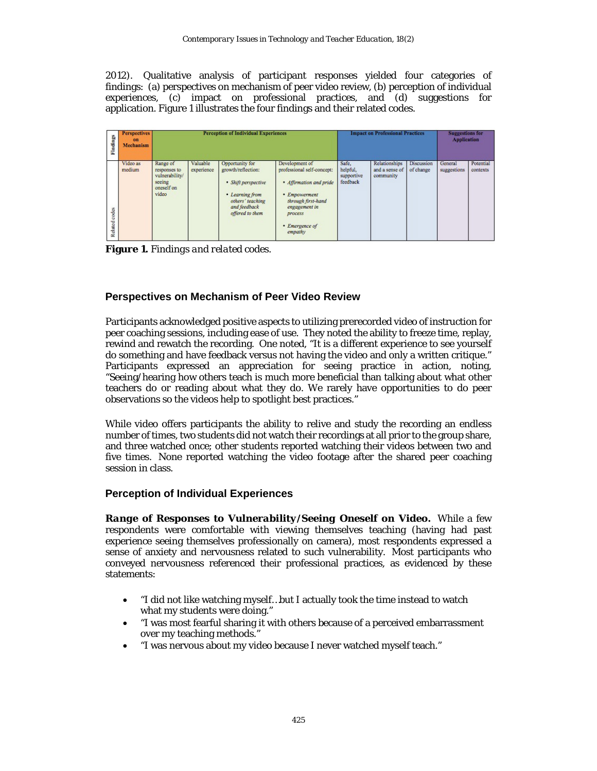2012). Qualitative analysis of participant responses yielded four categories of findings: (a) perspectives on mechanism of peer video review, (b) perception of individual experiences, (c) impact on professional practices, and (d) suggestions for application. Figure 1 illustrates the four findings and their related codes.

| Findings         | <b>Perspectives</b><br>$_{\rm en}$<br>Mechanism | <b>Perception of Individual Experiences</b>                                 |                        |                                                                                                                                        |                                                                                                                                                                         | <b>Impact on Professional Practices</b>     |                                                     |                         | <b>Suggestions for</b><br><b>Application</b> |                              |
|------------------|-------------------------------------------------|-----------------------------------------------------------------------------|------------------------|----------------------------------------------------------------------------------------------------------------------------------------|-------------------------------------------------------------------------------------------------------------------------------------------------------------------------|---------------------------------------------|-----------------------------------------------------|-------------------------|----------------------------------------------|------------------------------|
| codes<br>Related | Video as<br>medium                              | Range of<br>responses to<br>vulnerability/<br>seeing<br>oneself on<br>video | Valuable<br>experience | Opportunity for<br>growth/reflection:<br>· Shift perspective<br>• Learning from<br>others' teaching<br>and feedback<br>offered to them | Development of<br>professional self-concept:<br>· Affirmation and pride<br>• Empowerment<br>through first-hand<br>engagement in<br>process<br>• Emergence of<br>empathy | Safe.<br>helpful,<br>supportive<br>feedback | <b>Relationships</b><br>and a sense of<br>community | Discussion<br>of change | General<br>suggestions                       | <b>Potential</b><br>contexts |

**Figure 1.** *Findings and related codes.*

# **Perspectives on Mechanism of Peer Video Review**

Participants acknowledged positive aspects to utilizing prerecorded video of instruction for peer coaching sessions, including ease of use. They noted the ability to freeze time, replay, rewind and rewatch the recording. One noted, "It is a different experience to see yourself do something and have feedback versus not having the video and only a written critique." Participants expressed an appreciation for seeing practice in action, noting, "Seeing/hearing how others teach is much more beneficial than talking about what other teachers do or reading about what they do. We rarely have opportunities to do peer observations so the videos help to spotlight best practices."

While video offers participants the ability to relive and study the recording an endless number of times, two students did not watch their recordings at all prior to the group share, and three watched once; other students reported watching their videos between two and five times. None reported watching the video footage after the shared peer coaching session in class.

# **Perception of Individual Experiences**

*Range of Responses to Vulnerability/Seeing Oneself on Video***.** While a few respondents were comfortable with viewing themselves teaching (having had past experience seeing themselves professionally on camera), most respondents expressed a sense of anxiety and nervousness related to such vulnerability. Most participants who conveyed nervousness referenced their professional practices, as evidenced by these statements:

- "I did not like watching myself…but I actually took the time instead to watch what my students were doing."
- "I was most fearful sharing it with others because of a perceived embarrassment over my teaching methods."
- "I was nervous about my video because I never watched myself teach."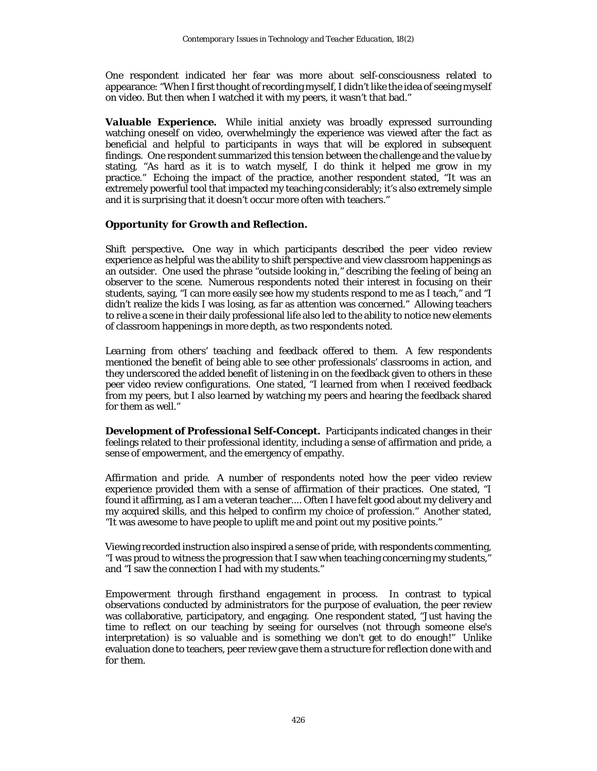One respondent indicated her fear was more about self-consciousness related to appearance: "When I first thought of recording myself, I didn't like the idea of seeing myself on video. But then when I watched it with my peers, it wasn't that bad."

*Valuable Experience.* While initial anxiety was broadly expressed surrounding watching oneself on video, overwhelmingly the experience was viewed after the fact as beneficial and helpful to participants in ways that will be explored in subsequent findings. One respondent summarized this tension between the challenge and the value by stating, "As hard as it is to watch myself, I do think it helped me grow in my practice." Echoing the impact of the practice, another respondent stated, "It was an extremely powerful tool that impacted my teaching considerably; it's also extremely simple and it is surprising that it doesn't occur more often with teachers."

#### *Opportunity for Growth and Reflection.*

*Shift perspective.* One way in which participants described the peer video review experience as helpful was the ability to shift perspective and view classroom happenings as an outsider. One used the phrase "outside looking in," describing the feeling of being an observer to the scene. Numerous respondents noted their interest in focusing on their students, saying, "I can more easily see how my students respond to me as I teach," and "I didn't realize the kids I was losing, as far as attention was concerned." Allowing teachers to relive a scene in their daily professional life also led to the ability to notice new elements of classroom happenings in more depth, as two respondents noted.

*Learning from others' teaching and feedback offered to them.* A few respondents mentioned the benefit of being able to see other professionals' classrooms in action, and they underscored the added benefit of listening in on the feedback given to others in these peer video review configurations. One stated, "I learned from when I received feedback from my peers, but I also learned by watching my peers and hearing the feedback shared for them as well."

*Development of Professional Self-Concept.* Participants indicated changes in their feelings related to their professional identity, including a sense of affirmation and pride, a sense of empowerment, and the emergency of empathy.

*Affirmation and pride.* A number of respondents noted how the peer video review experience provided them with a sense of affirmation of their practices. One stated, "I found it affirming, as I am a veteran teacher.... Often I have felt good about my delivery and my acquired skills, and this helped to confirm my choice of profession." Another stated, "It was awesome to have people to uplift me and point out my positive points."

Viewing recorded instruction also inspired a sense of pride, with respondents commenting, "I was proud to witness the progression that I saw when teaching concerning my students," and "I saw the connection I had with my students."

*Empowerment through firsthand engagement in process.* In contrast to typical observations conducted by administrators for the purpose of evaluation, the peer review was collaborative, participatory, and engaging. One respondent stated, "Just having the time to reflect on our teaching by seeing for ourselves (not through someone else's interpretation) is so valuable and is something we don't get to do enough!" Unlike evaluation done *to* teachers, peer review gave them a structure for reflection done *with* and *for* them.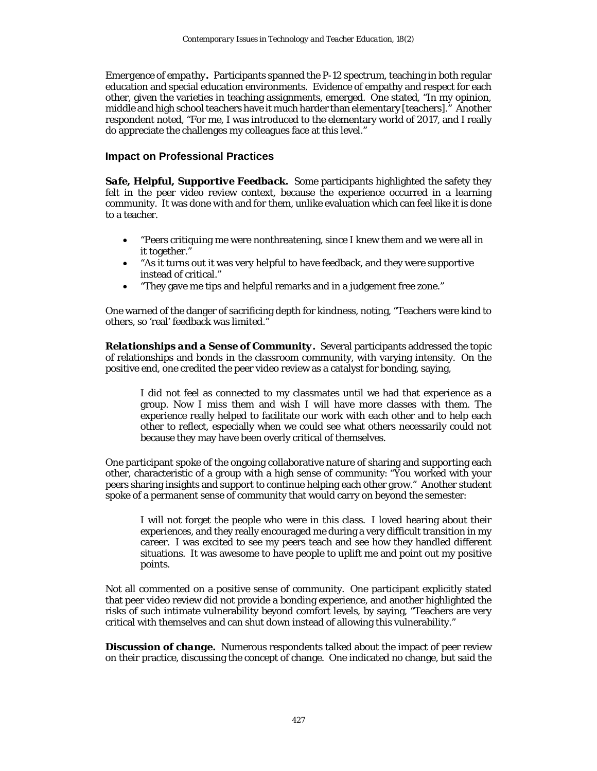*Emergence of empathy.* Participants spanned the P-12 spectrum, teaching in both regular education and special education environments. Evidence of empathy and respect for each other, given the varieties in teaching assignments, emerged. One stated, "In my opinion, middle and high school teachers have it much harder than elementary [teachers]." Another respondent noted, "For me, I was introduced to the elementary world of 2017, and I really do appreciate the challenges my colleagues face at this level."

# **Impact on Professional Practices**

**Safe, Helpful, Supportive Feedback.** Some participants highlighted the safety they felt in the peer video review context, because the experience occurred in a learning community. It was done *with* and *for* them, unlike evaluation which can feel like it is done *to* a teacher.

- "Peers critiquing me were nonthreatening, since I knew them and we were all in it together."
- "As it turns out it was very helpful to have feedback, and they were supportive instead of critical."
- "They gave me tips and helpful remarks and in a judgement free zone."

One warned of the danger of sacrificing depth for kindness, noting, "Teachers were kind to others, so 'real' feedback was limited."

*Relationships and a Sense of Community.* Several participants addressed the topic of relationships and bonds in the classroom community, with varying intensity. On the positive end, one credited the peer video review as a catalyst for bonding, saying,

I did not feel as connected to my classmates until we had that experience as a group. Now I miss them and wish I will have more classes with them. The experience really helped to facilitate our work with each other and to help each other to reflect, especially when we could see what others necessarily could not because they may have been overly critical of themselves.

One participant spoke of the ongoing collaborative nature of sharing and supporting each other, characteristic of a group with a high sense of community: "You worked with your peers sharing insights and support to continue helping each other grow." Another student spoke of a permanent sense of community that would carry on beyond the semester:

I will not forget the people who were in this class. I loved hearing about their experiences, and they really encouraged me during a very difficult transition in my career. I was excited to see my peers teach and see how they handled different situations. It was awesome to have people to uplift me and point out my positive points.

Not all commented on a positive sense of community. One participant explicitly stated that peer video review did not provide a bonding experience, and another highlighted the risks of such intimate vulnerability beyond comfort levels, by saying, "Teachers are very critical with themselves and can shut down instead of allowing this vulnerability."

*Discussion of change***.** Numerous respondents talked about the impact of peer review on their practice, discussing the concept of change. One indicated no change, but said the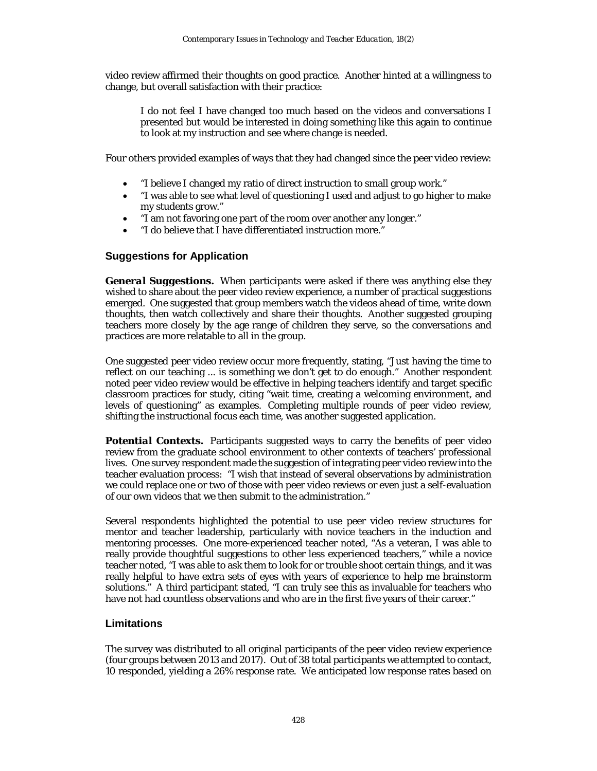video review affirmed their thoughts on good practice. Another hinted at a willingness to change, but overall satisfaction with their practice:

I do not feel I have changed too much based on the videos and conversations I presented but would be interested in doing something like this again to continue to look at my instruction and see where change is needed.

Four others provided examples of ways that they had changed since the peer video review:

- "I believe I changed my ratio of direct instruction to small group work."
- "I was able to see what level of questioning I used and adjust to go higher to make my students grow."
- "I am not favoring one part of the room over another any longer."
- "I do believe that I have differentiated instruction more."

# **Suggestions for Application**

*General Suggestions***.** When participants were asked if there was anything else they wished to share about the peer video review experience, a number of practical suggestions emerged. One suggested that group members watch the videos ahead of time, write down thoughts, then watch collectively and share their thoughts. Another suggested grouping teachers more closely by the age range of children they serve, so the conversations and practices are more relatable to all in the group.

One suggested peer video review occur more frequently, stating, "Just having the time to reflect on our teaching ... is something we don't get to do enough." Another respondent noted peer video review would be effective in helping teachers identify and target specific classroom practices for study, citing "wait time, creating a welcoming environment, and levels of questioning" as examples. Completing multiple rounds of peer video review, shifting the instructional focus each time, was another suggested application.

**Potential Contexts.** Participants suggested ways to carry the benefits of peer video review from the graduate school environment to other contexts of teachers' professional lives. One survey respondent made the suggestion of integrating peer video review into the teacher evaluation process: "I wish that instead of several observations by administration we could replace one or two of those with peer video reviews or even just a self-evaluation of our own videos that we then submit to the administration."

Several respondents highlighted the potential to use peer video review structures for mentor and teacher leadership, particularly with novice teachers in the induction and mentoring processes. One more-experienced teacher noted, "As a veteran, I was able to really provide thoughtful suggestions to other less experienced teachers," while a novice teacher noted, "I was able to ask them to look for or trouble shoot certain things, and it was really helpful to have extra sets of eyes with years of experience to help me brainstorm solutions." A third participant stated, "I can truly see this as invaluable for teachers who have not had countless observations and who are in the first five years of their career."

# **Limitations**

The survey was distributed to all original participants of the peer video review experience (four groups between 2013 and 2017). Out of 38 total participants we attempted to contact, 10 responded, yielding a 26% response rate. We anticipated low response rates based on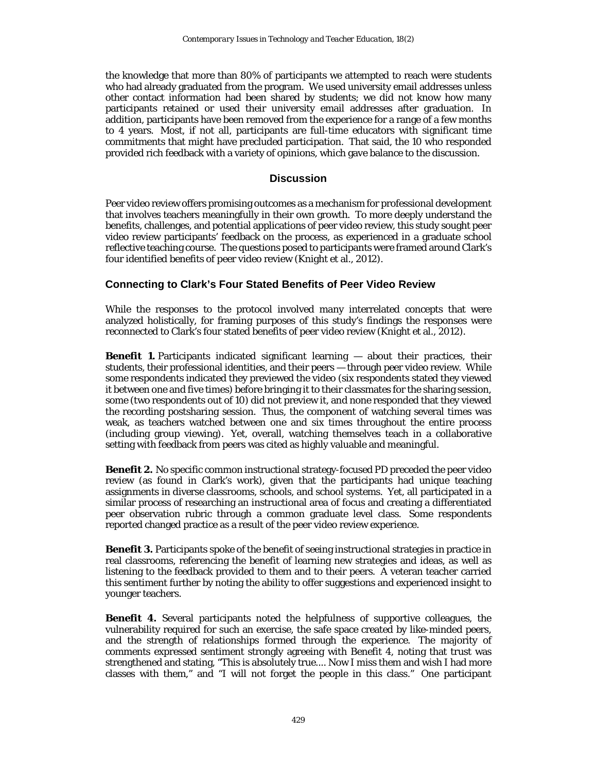the knowledge that more than 80% of participants we attempted to reach were students who had already graduated from the program. We used university email addresses unless other contact information had been shared by students; we did not know how many participants retained or used their university email addresses after graduation. In addition, participants have been removed from the experience for a range of a few months to 4 years. Most, if not all, participants are full-time educators with significant time commitments that might have precluded participation. That said, the 10 who responded provided rich feedback with a variety of opinions, which gave balance to the discussion.

#### **Discussion**

Peer video review offers promising outcomes as a mechanism for professional development that involves teachers meaningfully in their own growth. To more deeply understand the benefits, challenges, and potential applications of peer video review, this study sought peer video review participants' feedback on the process, as experienced in a graduate school reflective teaching course. The questions posed to participants were framed around Clark's four identified benefits of peer video review (Knight et al., 2012).

# **Connecting to Clark's Four Stated Benefits of Peer Video Review**

While the responses to the protocol involved many interrelated concepts that were analyzed holistically, for framing purposes of this study's findings the responses were reconnected to Clark's four stated benefits of peer video review (Knight et al., 2012).

**Benefit 1.** Participants indicated significant learning — about their practices, their students, their professional identities, and their peers — through peer video review. While some respondents indicated they previewed the video (six respondents stated they viewed it between one and five times) before bringing it to their classmates for the sharing session, some (two respondents out of 10) did not preview it, and none responded that they viewed the recording postsharing session. Thus, the component of watching several times was weak, as teachers watched between one and six times throughout the entire process (including group viewing). Yet, overall, watching themselves teach in a collaborative setting with feedback from peers was cited as highly valuable and meaningful.

*Benefit 2.* No specific common instructional strategy-focused PD preceded the peer video review (as found in Clark's work), given that the participants had unique teaching assignments in diverse classrooms, schools, and school systems. Yet, all participated in a similar process of researching an instructional area of focus and creating a differentiated peer observation rubric through a common graduate level class. Some respondents reported changed practice as a result of the peer video review experience.

**Benefit 3.** Participants spoke of the benefit of seeing instructional strategies in practice in real classrooms, referencing the benefit of learning new strategies and ideas, as well as listening to the feedback provided to them and to their peers. A veteran teacher carried this sentiment further by noting the ability to offer suggestions and experienced insight to younger teachers.

**Benefit 4.** Several participants noted the helpfulness of supportive colleagues, the vulnerability required for such an exercise, the safe space created by like-minded peers, and the strength of relationships formed through the experience. The majority of comments expressed sentiment strongly agreeing with Benefit 4, noting that trust was strengthened and stating, "This is absolutely true.... Now I miss them and wish I had more classes with them," and "I will not forget the people in this class." One participant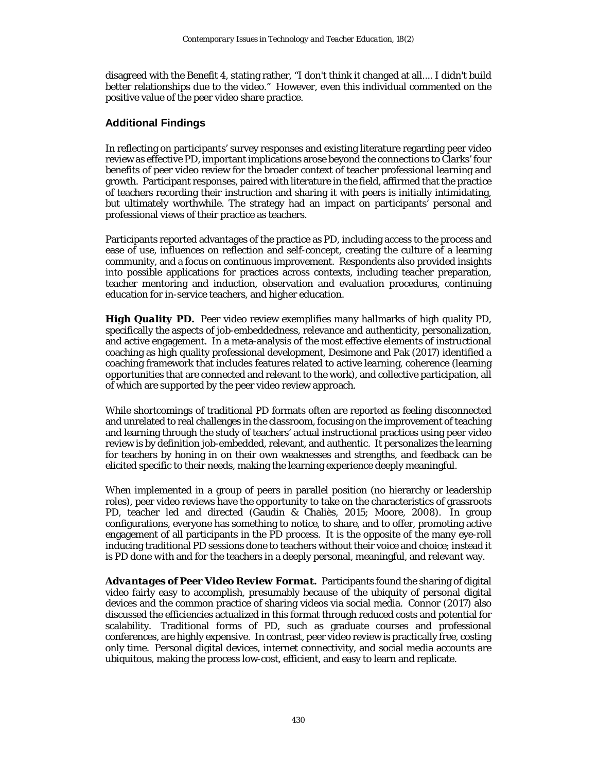disagreed with the Benefit 4, stating rather, "I don't think it changed at all.... I didn't build better relationships due to the video." However, even this individual commented on the positive value of the peer video share practice.

# **Additional Findings**

In reflecting on participants' survey responses and existing literature regarding peer video review as effective PD, important implications arose beyond the connections to Clarks' four benefits of peer video review for the broader context of teacher professional learning and growth. Participant responses, paired with literature in the field, affirmed that the practice of teachers recording their instruction and sharing it with peers is initially intimidating, but ultimately worthwhile. The strategy had an impact on participants' personal and professional views of their practice as teachers.

Participants reported advantages of the practice as PD, including access to the process and ease of use, influences on reflection and self-concept, creating the culture of a learning community, and a focus on continuous improvement. Respondents also provided insights into possible applications for practices across contexts, including teacher preparation, teacher mentoring and induction, observation and evaluation procedures, continuing education for in-service teachers, and higher education.

*High Quality PD.* Peer video review exemplifies many hallmarks of high quality PD, specifically the aspects of job-embeddedness, relevance and authenticity, personalization, and active engagement. In a meta-analysis of the most effective elements of instructional coaching as high quality professional development, Desimone and Pak (2017) identified a coaching framework that includes features related to active learning, coherence (learning opportunities that are connected and relevant to the work), and collective participation, all of which are supported by the peer video review approach.

While shortcomings of traditional PD formats often are reported as feeling disconnected and unrelated to real challenges in the classroom, focusing on the improvement of teaching and learning through the study of teachers' actual instructional practices using peer video review is by definition job-embedded, relevant, and authentic. It personalizes the learning for teachers by honing in on their own weaknesses and strengths, and feedback can be elicited specific to their needs, making the learning experience deeply meaningful.

When implemented in a group of peers in parallel position (no hierarchy or leadership roles), peer video reviews have the opportunity to take on the characteristics of grassroots PD, teacher led and directed (Gaudin & Chaliès, 2015; Moore, 2008). In group configurations, everyone has something to notice, to share, and to offer, promoting active engagement of all participants in the PD process. It is the opposite of the many eye-roll inducing traditional PD sessions done *to* teachers without their voice and choice; instead it is PD done *with* and *for* the teachers in a deeply personal, meaningful, and relevant way.

*Advantages of Peer Video Review Format.* Participants found the sharing of digital video fairly easy to accomplish, presumably because of the ubiquity of personal digital devices and the common practice of sharing videos via social media. Connor (2017) also discussed the efficiencies actualized in this format through reduced costs and potential for scalability. Traditional forms of PD, such as graduate courses and professional conferences, are highly expensive. In contrast, peer video review is practically free, costing only time. Personal digital devices, internet connectivity, and social media accounts are ubiquitous, making the process low-cost, efficient, and easy to learn and replicate.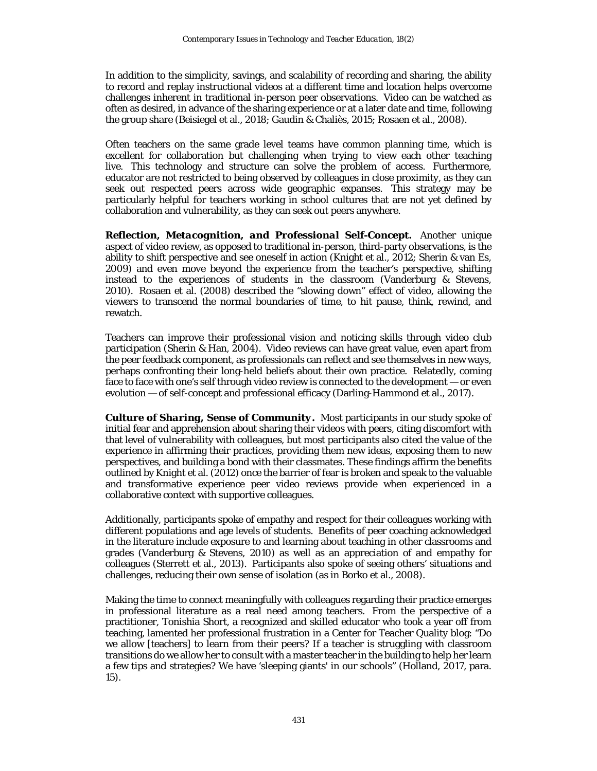In addition to the simplicity, savings, and scalability of recording and sharing, the ability to record and replay instructional videos at a different time and location helps overcome challenges inherent in traditional in-person peer observations. Video can be watched as often as desired, in advance of the sharing experience or at a later date and time, following the group share (Beisiegel et al., 2018; Gaudin & Chaliès, 2015; Rosaen et al., 2008).

Often teachers on the same grade level teams have common planning time, which is excellent for collaboration but challenging when trying to view each other teaching live. This technology and structure can solve the problem of access. Furthermore, educator are not restricted to being observed by colleagues in close proximity, as they can seek out respected peers across wide geographic expanses. This strategy may be particularly helpful for teachers working in school cultures that are not yet defined by collaboration and vulnerability, as they can seek out peers anywhere.

*Reflection, Metacognition, and Professional Self-Concept***.** Another unique aspect of video review, as opposed to traditional in-person, third-party observations, is the ability to shift perspective and see oneself in action (Knight et al., 2012; Sherin & van Es, 2009) and even move beyond the experience from the teacher's perspective, shifting instead to the experiences of students in the classroom (Vanderburg & Stevens, 2010). Rosaen et al. (2008) described the "slowing down" effect of video, allowing the viewers to transcend the normal boundaries of time, to hit pause, think, rewind, and rewatch.

Teachers can improve their professional vision and noticing skills through video club participation (Sherin & Han, 2004). Video reviews can have great value, even apart from the peer feedback component, as professionals can reflect and see themselves in new ways, perhaps confronting their long-held beliefs about their own practice. Relatedly, coming face to face with one's self through video review is connected to the development — or even evolution — of self-concept and professional efficacy (Darling-Hammond et al., 2017).

*Culture of Sharing, Sense of Community***.** Most participants in our study spoke of initial fear and apprehension about sharing their videos with peers, citing discomfort with that level of vulnerability with colleagues, but most participants also cited the value of the experience in affirming their practices, providing them new ideas, exposing them to new perspectives, and building a bond with their classmates. These findings affirm the benefits outlined by Knight et al. (2012) once the barrier of fear is broken and speak to the valuable and transformative experience peer video reviews provide when experienced in a collaborative context with supportive colleagues.

Additionally, participants spoke of empathy and respect for their colleagues working with different populations and age levels of students. Benefits of peer coaching acknowledged in the literature include exposure to and learning about teaching in other classrooms and grades (Vanderburg & Stevens, 2010) as well as an appreciation of and empathy for colleagues (Sterrett et al., 2013). Participants also spoke of seeing others' situations and challenges, reducing their own sense of isolation (as in Borko et al., 2008).

Making the time to connect meaningfully with colleagues regarding their practice emerges in professional literature as a real need among teachers. From the perspective of a practitioner, Tonishia Short, a recognized and skilled educator who took a year off from teaching, lamented her professional frustration in a Center for Teacher Quality blog: "Do we allow [teachers] to learn from their peers? If a teacher is struggling with classroom transitions do we allow her to consult with a master teacher in the building to help her learn a few tips and strategies? We have 'sleeping giants' in our schools" (Holland, 2017, para. 15).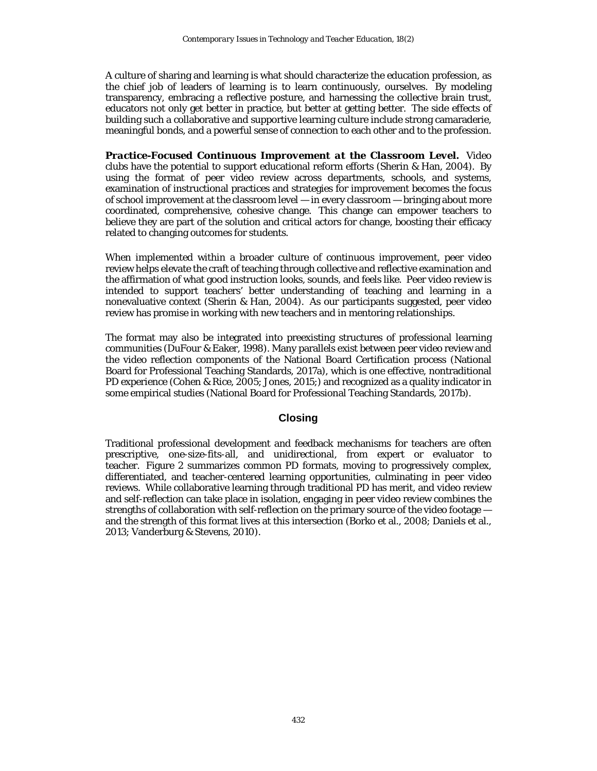A culture of sharing and learning is what should characterize the education profession, as the chief job of leaders of learning is to learn continuously, ourselves. By modeling transparency, embracing a reflective posture, and harnessing the collective brain trust, educators not only get better in practice, but better at getting better. The side effects of building such a collaborative and supportive learning culture include strong camaraderie, meaningful bonds, and a powerful sense of connection to each other and to the profession.

*Practice-Focused Continuous Improvement at the Classroom Level.* Video clubs have the potential to support educational reform efforts (Sherin & Han, 2004). By using the format of peer video review across departments, schools, and systems, examination of instructional practices and strategies for improvement becomes the focus of school improvement at the classroom level — in every classroom — bringing about more coordinated, comprehensive, cohesive change. This change can empower teachers to believe they are part of the solution and critical actors for change, boosting their efficacy related to changing outcomes for students.

When implemented within a broader culture of continuous improvement, peer video review helps elevate the craft of teaching through collective and reflective examination and the affirmation of what good instruction looks, sounds, and feels like. Peer video review is intended to support teachers' better understanding of teaching and learning in a nonevaluative context (Sherin & Han, 2004). As our participants suggested, peer video review has promise in working with new teachers and in mentoring relationships.

The format may also be integrated into preexisting structures of professional learning communities (DuFour & Eaker, 1998). Many parallels exist between peer video review and the video reflection components of the National Board Certification process (National Board for Professional Teaching Standards, 2017a), which is one effective, nontraditional PD experience (Cohen & Rice, 2005; Jones, 2015;) and recognized as a quality indicator in some empirical studies (National Board for Professional Teaching Standards, 2017b).

#### **Closing**

Traditional professional development and feedback mechanisms for teachers are often prescriptive, one-size-fits-all, and unidirectional, from expert or evaluator to teacher. Figure 2 summarizes common PD formats, moving to progressively complex, differentiated, and teacher-centered learning opportunities, culminating in peer video reviews. While collaborative learning through traditional PD has merit, and video review and self-reflection can take place in isolation, engaging in peer video review combines the strengths of collaboration with self-reflection on the primary source of the video footage and the strength of this format lives at this intersection (Borko et al., 2008; Daniels et al., 2013; Vanderburg & Stevens, 2010).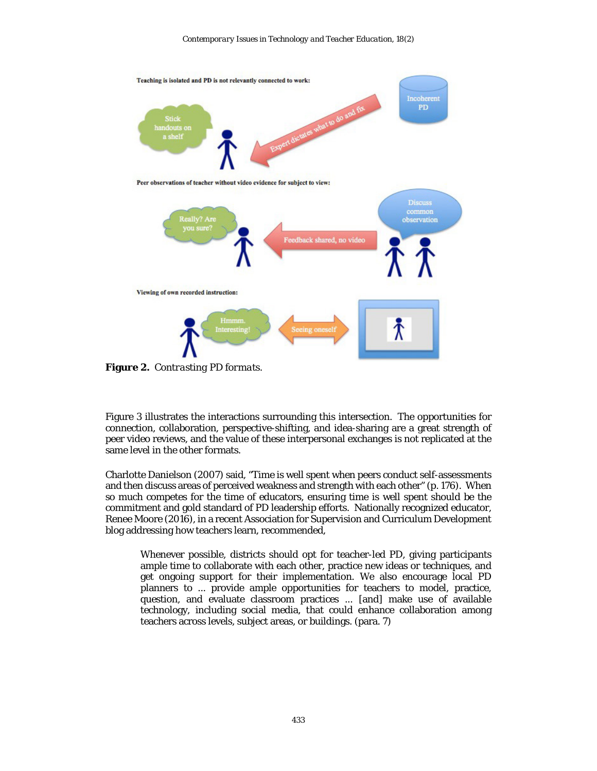

**Figure 2.** *Contrasting PD formats.*

Figure 3 illustrates the interactions surrounding this intersection. The opportunities for connection, collaboration, perspective-shifting, and idea-sharing are a great strength of peer video reviews, and the value of these interpersonal exchanges is not replicated at the same level in the other formats.

Charlotte Danielson (2007) said, "Time is well spent when peers conduct self-assessments and then discuss areas of perceived weakness and strength with each other" (p. 176). When so much competes for the time of educators, ensuring time is well spent should be the commitment and gold standard of PD leadership efforts. Nationally recognized educator, Renee Moore (2016), in a recent Association for Supervision and Curriculum Development blog addressing how teachers learn, recommended,

Whenever possible, districts should opt for teacher-led PD, giving participants ample time to collaborate with each other, practice new ideas or techniques, and get ongoing support for their implementation. We also encourage local PD planners to ... provide ample opportunities for teachers to model, practice, question, and evaluate classroom practices ... [and] make use of available technology, including social media, that could enhance collaboration among teachers across levels, subject areas, or buildings. (para. 7)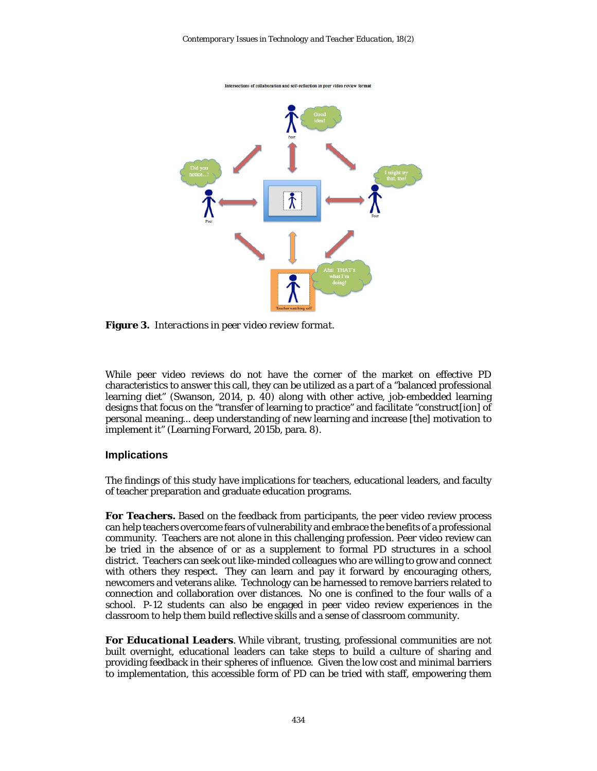

**Figure 3.** *Interactions in peer video review format.*

While peer video reviews do not have the corner of the market on effective PD characteristics to answer this call, they can be utilized as a part of a "balanced professional learning diet" (Swanson, 2014, p. 40) along with other active, job-embedded learning designs that focus on the "transfer of learning to practice" and facilitate "construct[ion] of personal meaning... deep understanding of new learning and increase [the] motivation to implement it" (Learning Forward, 2015b, para. 8).

#### **Implications**

The findings of this study have implications for teachers, educational leaders, and faculty of teacher preparation and graduate education programs.

*For Teachers.* Based on the feedback from participants, the peer video review process can help teachers overcome fears of vulnerability and embrace the benefits of a professional community. Teachers are not alone in this challenging profession. Peer video review can be tried in the absence of or as a supplement to formal PD structures in a school district. Teachers can seek out like-minded colleagues who are willing to grow and connect with others they respect. They can learn and pay it forward by encouraging others, newcomers and veterans alike. Technology can be harnessed to remove barriers related to connection and collaboration over distances. No one is confined to the four walls of a school. P-12 students can also be engaged in peer video review experiences in the classroom to help them build reflective skills and a sense of classroom community.

*For Educational Leaders.* While vibrant, trusting, professional communities are not built overnight, educational leaders can take steps to build a culture of sharing and providing feedback in their spheres of influence. Given the low cost and minimal barriers to implementation, this accessible form of PD can be tried with staff, empowering them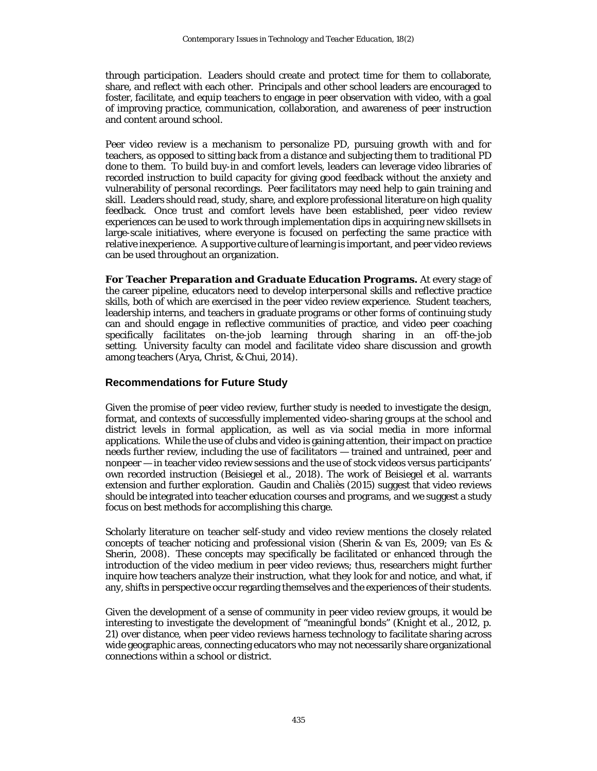through participation. Leaders should create and protect time for them to collaborate, share, and reflect with each other. Principals and other school leaders are encouraged to foster, facilitate, and equip teachers to engage in peer observation with video, with a goal of improving practice, communication, collaboration, and awareness of peer instruction and content around school.

Peer video review is a mechanism to personalize PD, pursuing growth *with* and *for* teachers, as opposed to sitting back from a distance and subjecting them to traditional PD done *to* them. To build buy-in and comfort levels, leaders can leverage video libraries of recorded instruction to build capacity for giving good feedback without the anxiety and vulnerability of personal recordings. Peer facilitators may need help to gain training and skill. Leaders should read, study, share, and explore professional literature on high quality feedback. Once trust and comfort levels have been established, peer video review experiences can be used to work through implementation dips in acquiring new skillsets in large-scale initiatives, where everyone is focused on perfecting the same practice with relative inexperience. A supportive culture of learning is important, and peer video reviews can be used throughout an organization.

*For Teacher Preparation and Graduate Education Programs.* At every stage of the career pipeline, educators need to develop interpersonal skills and reflective practice skills, both of which are exercised in the peer video review experience. Student teachers, leadership interns, and teachers in graduate programs or other forms of continuing study can and should engage in reflective communities of practice, and video peer coaching specifically facilitates on-the-job learning through sharing in an off-the-job setting. University faculty can model and facilitate video share discussion and growth among teachers (Arya, Christ, & Chui, 2014).

#### **Recommendations for Future Study**

Given the promise of peer video review, further study is needed to investigate the design, format, and contexts of successfully implemented video-sharing groups at the school and district levels in formal application, as well as via social media in more informal applications. While the use of clubs and video is gaining attention, their impact on practice needs further review, including the use of facilitators — trained and untrained, peer and nonpeer — in teacher video review sessions and the use of stock videos versus participants' own recorded instruction (Beisiegel et al., 2018). The work of Beisiegel et al. warrants extension and further exploration. Gaudin and Chaliès (2015) suggest that video reviews should be integrated into teacher education courses and programs, and we suggest a study focus on best methods for accomplishing this charge.

Scholarly literature on teacher self-study and video review mentions the closely related concepts of teacher noticing and professional vision (Sherin & van Es, 2009; van Es & Sherin, 2008). These concepts may specifically be facilitated or enhanced through the introduction of the video medium in peer video reviews; thus, researchers might further inquire how teachers analyze their instruction, what they look for and notice, and what, if any, shifts in perspective occur regarding themselves and the experiences of their students.

Given the development of a sense of community in peer video review groups, it would be interesting to investigate the development of "meaningful bonds" (Knight et al., 2012, p. 21) over distance, when peer video reviews harness technology to facilitate sharing across wide geographic areas, connecting educators who may not necessarily share organizational connections within a school or district.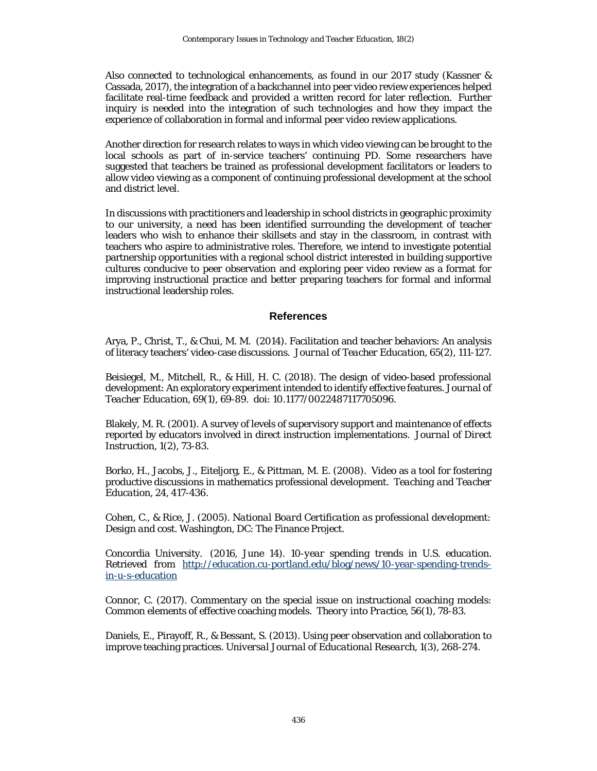Also connected to technological enhancements, as found in our 2017 study (Kassner & Cassada, 2017), the integration of a backchannel into peer video review experiences helped facilitate real-time feedback and provided a written record for later reflection. Further inquiry is needed into the integration of such technologies and how they impact the experience of collaboration in formal and informal peer video review applications.

Another direction for research relates to ways in which video viewing can be brought to the local schools as part of in-service teachers' continuing PD. Some researchers have suggested that teachers be trained as professional development facilitators or leaders to allow video viewing as a component of continuing professional development at the school and district level.

In discussions with practitioners and leadership in school districts in geographic proximity to our university, a need has been identified surrounding the development of teacher leaders who wish to enhance their skillsets and stay in the classroom, in contrast with teachers who aspire to administrative roles. Therefore, we intend to investigate potential partnership opportunities with a regional school district interested in building supportive cultures conducive to peer observation and exploring peer video review as a format for improving instructional practice and better preparing teachers for formal and informal instructional leadership roles.

#### **References**

Arya, P., Christ, T., & Chui, M. M. (2014). Facilitation and teacher behaviors: An analysis of literacy teachers' video-case discussions. *Journal of Teacher Education*, *65*(2), 111-127.

Beisiegel, M., Mitchell, R., & Hill, H. C. (2018). The design of video-based professional development: An exploratory experiment intended to identify effective features. *Journal of Teacher Education*, 69(1), 69-89. doi: 10.1177/0022487117705096.

Blakely, M. R. (2001). A survey of levels of supervisory support and maintenance of effects reported by educators involved in direct instruction implementations. *Journal of Direct Instruction*, *1*(2), 73-83.

Borko, H., Jacobs, J., Eiteljorg, E., & Pittman, M. E. (2008). Video as a tool for fostering productive discussions in mathematics professional development. *Teaching and Teacher Education*, *24*, 417-436.

Cohen, C., & Rice, J. (2005). *National Board Certification as professional development: Design and cost*. Washington, DC: The Finance Project.

Concordia University. (2016, June 14). *10-year spending trends in U.S. education.* Retrieved from [http://education.cu-portland.edu/blog/news/10-year-spending-trends](http://education.cu-portland.edu/blog/news/10-year-spending-trends-in-u-s-education)[in-u-s-education](http://education.cu-portland.edu/blog/news/10-year-spending-trends-in-u-s-education)

Connor, C. (2017). Commentary on the special issue on instructional coaching models: Common elements of effective coaching models. *Theory into Practice, 56*(1), 78-83.

Daniels, E., Pirayoff, R., & Bessant, S. (2013). Using peer observation and collaboration to improve teaching practices. *Universal Journal of Educational Research*, *1*(3), 268-274.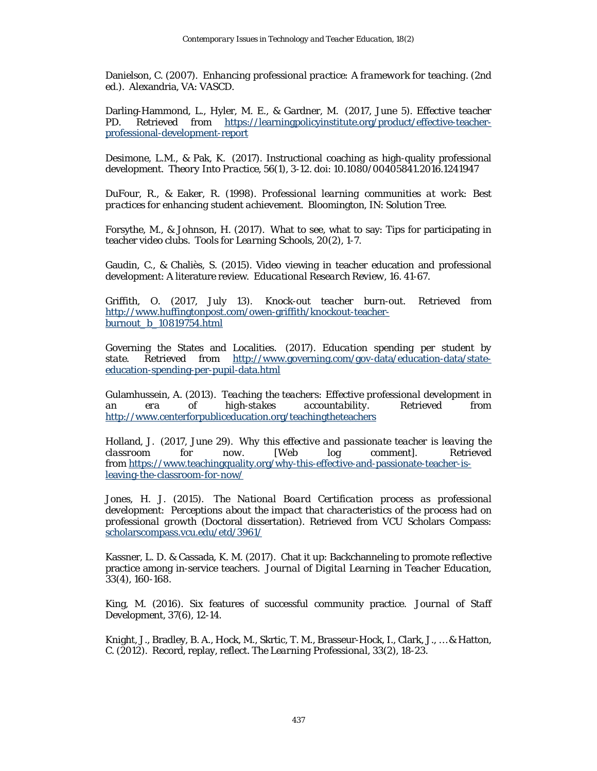Danielson, C. (2007). *Enhancing professional practice: A framework for teaching.* (2nd ed.). Alexandria, VA: VASCD.

Darling-Hammond, L., Hyler, M. E., & Gardner, M. (2017, June 5). *Effective teacher PD.* Retrieved from [https://learningpolicyinstitute.org/product/effective-teacher](https://learningpolicyinstitute.org/product/effective-teacher-professional-development-report)[professional-development-report](https://learningpolicyinstitute.org/product/effective-teacher-professional-development-report)

Desimone, L.M., & Pak, K. (2017). Instructional coaching as high-quality professional development. *Theory Into Practice*, *56*(1), 3-12. doi: 10.1080/00405841.2016.1241947

DuFour, R., & Eaker, R. (1998). *Professional learning communities at work: Best practices for enhancing student achievement.* Bloomington, IN: Solution Tree.

Forsythe, M., & Johnson, H. (2017). What to see, what to say: Tips for participating in teacher video clubs. *Tools for Learning Schools, 20*(2), 1-7.

Gaudin, C., & Chaliès, S. (2015). Video viewing in teacher education and professional development: A literature review. *Educational Research Review, 16*. 41-67.

Griffith, O. (2017, July 13). *Knock-out teacher burn-out.* Retrieved from [http://www.huffingtonpost.com/owen-griffith/knockout-teacher](http://www.huffingtonpost.com/owen-griffith/knockout-teacher-burnout_b_10819754.html)[burnout\\_b\\_10819754.html](http://www.huffingtonpost.com/owen-griffith/knockout-teacher-burnout_b_10819754.html)

Governing the States and Localities. (2017). *Education spending per student by state.* Retrieved from [http://www.governing.com/gov-data/education-data/state](http://www.governing.com/gov-data/education-data/state-education-spending-per-pupil-data.html)[education-spending-per-pupil-data.html](http://www.governing.com/gov-data/education-data/state-education-spending-per-pupil-data.html)

Gulamhussein, A. (2013). *Teaching the teachers: Effective professional development in an era of high-stakes accountability.* Retrieved from <http://www.centerforpubliceducation.org/teachingtheteachers>

Holland, J. (2017, June 29). *Why this effective and passionate teacher is leaving the classroom for now*. [Web log comment]*.* Retrieved from [https://www.teachingquality.org/why-this-effective-and-passionate-teacher-is](https://www.teachingquality.org/why-this-effective-and-passionate-teacher-is-leaving-the-classroom-for-now/)[leaving-the-classroom-for-now/](https://www.teachingquality.org/why-this-effective-and-passionate-teacher-is-leaving-the-classroom-for-now/)

Jones, H. J. (2015). *The National Board Certification process as professional development: Perceptions about the impact that characteristics of the process had on professional growth* (Doctoral dissertation). Retrieved from VCU Scholars Compass: [scholarscompass.vcu.edu/etd/3961/](https://scholarscompass.vcu.edu/etd/3961/)

Kassner, L. D. & Cassada, K. M. (2017). Chat it up: Backchanneling to promote reflective practice among in-service teachers. *Journal of Digital Learning in Teacher Education, 33*(4), 160-168.

King, M. (2016). Six features of successful community practice. *Journal of Staff Development, 37*(6), 12-14.

Knight, J., Bradley, B. A., Hock, M., Skrtic, T. M., Brasseur-Hock, I., Clark, J., … & Hatton, C. (2012). Record, replay, reflect. *The Learning Professional*, *33*(2), 18-23.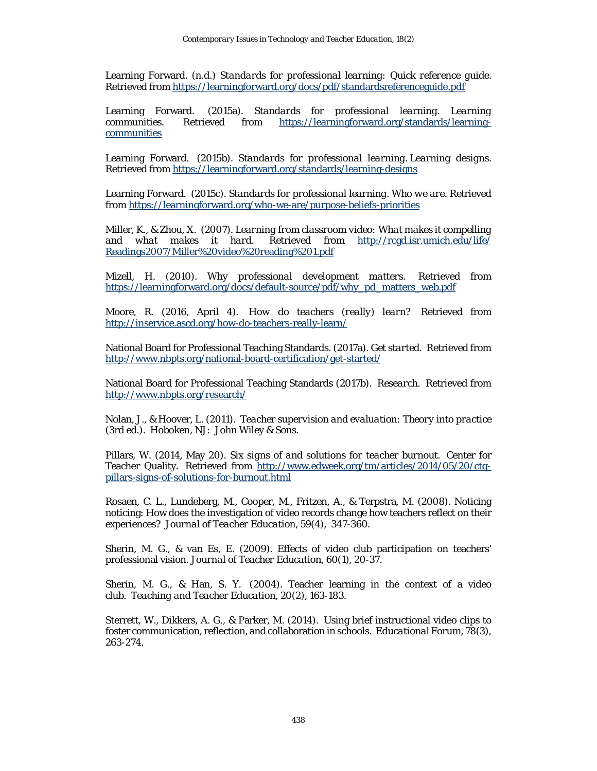Learning Forward. (n.d.) *Standards for professional learning: Quick reference guide.* Retrieved from<https://learningforward.org/docs/pdf/standardsreferenceguide.pdf>

Learning Forward. (2015a). *Standards for professional learning. Learning communities.* Retrieved from [https://learningforward.org/standards/learning](https://learningforward.org/standards/learning-communities)[communities](https://learningforward.org/standards/learning-communities)

Learning Forward. (2015b). *Standards for professional learning. Learning designs.* Retrieved from<https://learningforward.org/standards/learning-designs>

Learning Forward. (2015c). *Standards for professional learning. Who we are.* Retrieved from<https://learningforward.org/who-we-are/purpose-beliefs-priorities>

Miller, K., & Zhou, X. (2007). *Learning from classroom video: What makes it compelling Retrieved from [http://rcgd.isr.umich.edu/life/](http://rcgd.isr.umich.edu/life/%20Readings2007/Miller%20video%20reading%201.pdf)* [Readings2007/Miller%20video%20reading%201.pdf](http://rcgd.isr.umich.edu/life/%20Readings2007/Miller%20video%20reading%201.pdf)

Mizell, H. (2010). *Why professional development matters.* Retrieved from [https://learningforward.org/docs/default-source/pdf/why\\_pd\\_matters\\_web.pdf](https://learningforward.org/docs/default-source/pdf/why_pd_matters_web.pdf)

Moore, R. (2016, April 4). *How do teachers (really) learn?* Retrieved from <http://inservice.ascd.org/how-do-teachers-really-learn/>

National Board for Professional Teaching Standards. (2017a). *Get started.* Retrieved from <http://www.nbpts.org/national-board-certification/get-started/>

National Board for Professional Teaching Standards (2017b). *Research.* Retrieved from <http://www.nbpts.org/research/>

Nolan, J., & Hoover, L. (2011). *Teacher supervision and evaluation: Theory into practice (*3rd ed.). Hoboken, NJ: John Wiley & Sons.

Pillars, W. (2014, May 20). *Six signs of and solutions for teacher burnout.* Center for Teacher Quality. Retrieved from [http://www.edweek.org/tm/articles/2014/05/20/ctq](http://www.edweek.org/tm/articles/2014/05/20/ctq-pillars-signs-of-solutions-for-burnout.html)[pillars-signs-of-solutions-for-burnout.html](http://www.edweek.org/tm/articles/2014/05/20/ctq-pillars-signs-of-solutions-for-burnout.html)

Rosaen, C. L., Lundeberg, M., Cooper, M., Fritzen, A., & Terpstra, M. (2008). Noticing noticing: How does the investigation of video records change how teachers reflect on their experiences? *Journal of Teacher Education, 59*(4), 347-360.

Sherin, M. G., & van Es, E. (2009). Effects of video club participation on teachers' professional vision. *Journal of Teacher Education, 60*(1), 20-37.

Sherin, M. G., & Han, S. Y. (2004). Teacher learning in the context of a video club. *Teaching and Teacher Education, 20*(2), 163-183.

Sterrett, W., Dikkers, A. G., & Parker, M. (2014). Using brief instructional video clips to foster communication, reflection, and collaboration in schools. *Educational Forum*, *78*(3), 263-274.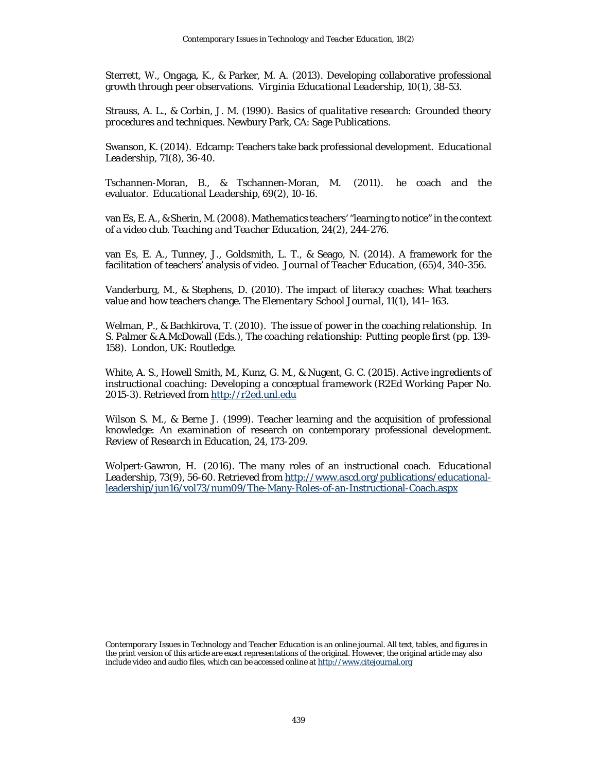Sterrett, W., Ongaga, K., & Parker, M. A. (2013). Developing collaborative professional growth through peer observations. *Virginia Educational Leadership, 10*(1), 38-53.

Strauss, A. L., & Corbin, J. M. (1990). *Basics of qualitative research: Grounded theory procedures and techniques*. Newbury Park, CA: Sage Publications.

Swanson, K. (2014). Edcamp: Teachers take back professional development. *Educational Leadership, 71*(8)*,* 36-40.

Tschannen-Moran, B., & Tschannen-Moran, M. (2011). he coach and the evaluator. *Educational Leadership*, *69*(2), 10-16.

van Es, E. A., & Sherin, M. (2008). Mathematics teachers' "learning to notice" in the context of a video club. *Teaching and Teacher Education, 24*(2), 244-276.

van Es, E. A., Tunney, J., Goldsmith, L. T., & Seago, N. (2014). A framework for the facilitation of teachers' analysis of video. *Journal of Teacher Education, (65)*4, 340-356.

Vanderburg, M., & Stephens, D. (2010). The impact of literacy coaches: What teachers value and how teachers change. *The Elementary School Journal, 11*(1), 141–163.

Welman, P., & Bachkirova, T. (2010). The issue of power in the coaching relationship. In S. Palmer & A.McDowall (Eds.), *The coaching relationship: Putting people first* (pp. 139- 158). London, UK: Routledge.

White, A. S., Howell Smith, M., Kunz, G. M., & Nugent, G. C. (2015). *Active ingredients of instructional coaching: Developing a conceptual framework (R2Ed Working Paper No. 2015-3).* Retrieved from [http://r2ed.unl.edu](http://r2ed.unl.edu/)

Wilson S. M., & Berne J. (1999). Teacher learning and the acquisition of professional knowledge: An examination of research on contemporary professional development. *Review of Research in Education, 24*, 173-209.

<span id="page-23-0"></span>Wolpert-Gawron, H. (2016). The many roles of an instructional coach. *Educational Leadership*, *73*(9), 56-60. Retrieved from [http://www.ascd.org/publications/educational](http://www.ascd.org/publications/educational-leadership/jun16/vol73/num09/The-Many-Roles-of-an-Instructional-Coach.aspx)[leadership/jun16/vol73/num09/The-Many-Roles-of-an-Instructional-Coach.aspx](http://www.ascd.org/publications/educational-leadership/jun16/vol73/num09/The-Many-Roles-of-an-Instructional-Coach.aspx)

*Contemporary Issues in Technology and Teacher Education* is an online journal. All text, tables, and figures in the print version of this article are exact representations of the original. However, the original article may also include video and audio files, which can be accessed online a[t http://www.citejournal.org](http://www.citejournal.org/)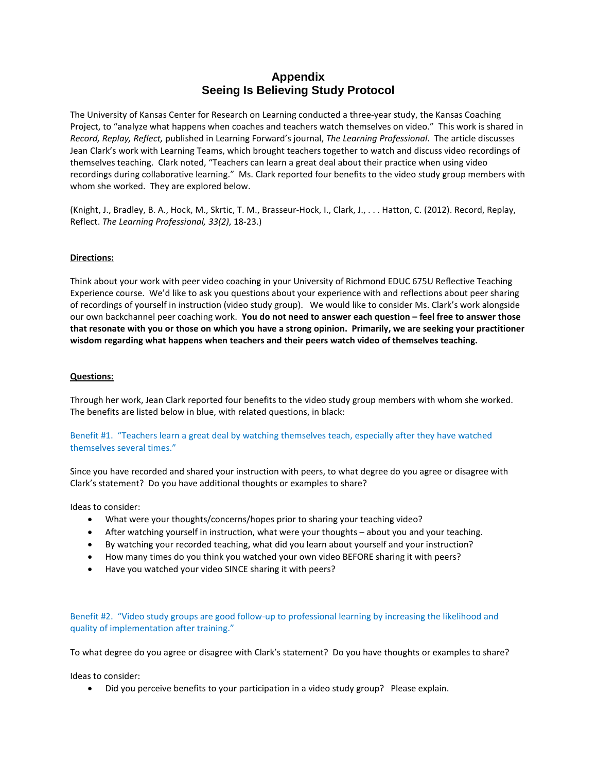# **Appendix Seeing Is Believing Study Protocol**

The University of Kansas Center for Research on Learning conducted a three-year study, the Kansas Coaching Project, to "analyze what happens when coaches and teachers watch themselves on video." This work is shared in *Record, Replay, Reflect,* published in Learning Forward's journal, *The Learning Professional*. The article discusses Jean Clark's work with Learning Teams, which brought teachers together to watch and discuss video recordings of themselves teaching. Clark noted, "Teachers can learn a great deal about their practice when using video recordings during collaborative learning." Ms. Clark reported four benefits to the video study group members with whom she worked. They are explored below.

(Knight, J., Bradley, B. A., Hock, M., Skrtic, T. M., Brasseur-Hock, I., Clark, J., . . . Hatton, C. (2012). Record, Replay, Reflect. *The Learning Professional, 33(2)*, 18-23.)

#### **Directions:**

Think about your work with peer video coaching in your University of Richmond EDUC 675U Reflective Teaching Experience course. We'd like to ask you questions about your experience with and reflections about peer sharing of recordings of yourself in instruction (video study group). We would like to consider Ms. Clark's work alongside our own backchannel peer coaching work. **You do not need to answer each question – feel free to answer those that resonate with you or those on which you have a strong opinion. Primarily, we are seeking your practitioner wisdom regarding what happens when teachers and their peers watch video of themselves teaching.** 

#### **Questions:**

Through her work, Jean Clark reported four benefits to the video study group members with whom she worked. The benefits are listed below in blue, with related questions, in black:

#### Benefit #1. "Teachers learn a great deal by watching themselves teach, especially after they have watched themselves several times."

Since you have recorded and shared your instruction with peers, to what degree do you agree or disagree with Clark's statement? Do you have additional thoughts or examples to share?

Ideas to consider:

- What were your thoughts/concerns/hopes prior to sharing your teaching video?
- After watching yourself in instruction, what were your thoughts about you and your teaching.
- By watching your recorded teaching, what did you learn about yourself and your instruction?
- How many times do you think you watched your own video BEFORE sharing it with peers?
- Have you watched your video SINCE sharing it with peers?

#### Benefit #2. "Video study groups are good follow-up to professional learning by increasing the likelihood and quality of implementation after training."

To what degree do you agree or disagree with Clark's statement? Do you have thoughts or examples to share?

Ideas to consider:

• Did you perceive benefits to your participation in a video study group? Please explain.